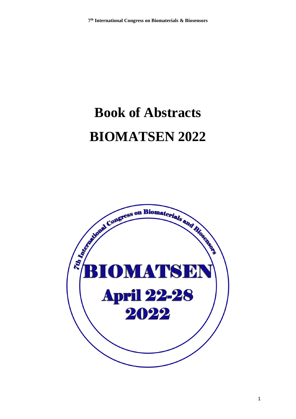# **Book of Abstracts BIOMATSEN 2022**



1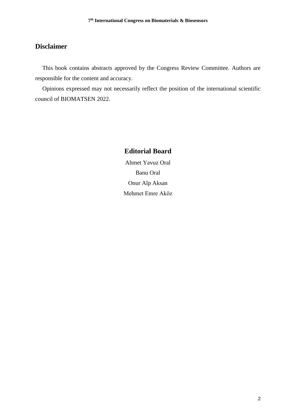## **Disclaimer**

This book contains abstracts approved by the Congress Review Committee. Authors are responsible for the content and accuracy.

Opinions expressed may not necessarily reflect the position of the international scientific council of BIOMATSEN 2022.

## **Editorial Board**

Ahmet Yavuz Oral Banu Oral Onur Alp Aksan Mehmet Emre Aköz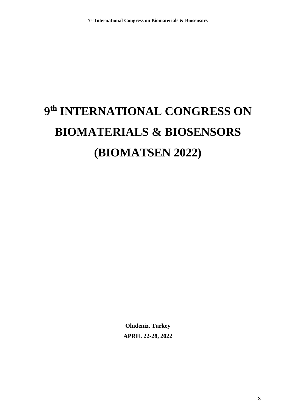# **9 th INTERNATIONAL CONGRESS ON BIOMATERIALS & BIOSENSORS (BIOMATSEN 2022)**

**Oludeniz, Turkey APRIL 22-28, 2022**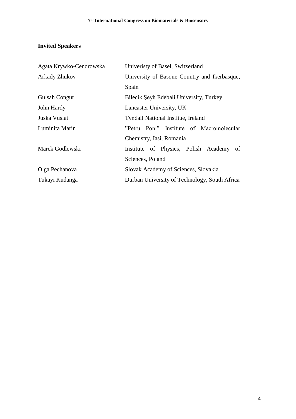## **Invited Speakers**

| Agata Krywko-Cendrowska | Univeristy of Basel, Switzerland              |
|-------------------------|-----------------------------------------------|
| <b>Arkady Zhukov</b>    | University of Basque Country and Ikerbasque,  |
|                         | Spain                                         |
| Gulsah Congur           | Bilecik Şeyh Edebali University, Turkey       |
| John Hardy              | Lancaster University, UK                      |
| Juska Vuslat            | <b>Tyndall National Institue, Ireland</b>     |
| Luminita Marin          | "Petru Poni" Institute of Macromolecular      |
|                         | Chemistry, Iasi, Romania                      |
| Marek Godlewski         | Institute of Physics, Polish Academy<br>of    |
|                         | Sciences, Poland                              |
| Olga Pechanova          | Slovak Academy of Sciences, Slovakia          |
| Tukayi Kudanga          | Durban University of Technology, South Africa |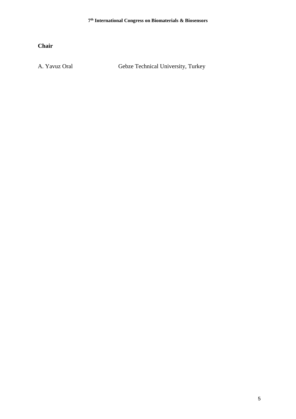**Chair**

A. Yavuz Oral Gebze Technical University, Turkey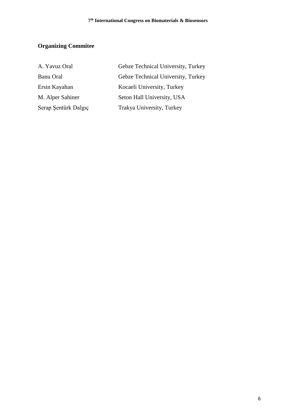## **Organizing Commitee**

| A. Yavuz Oral        | Gebze Technical University, Turkey |
|----------------------|------------------------------------|
| <b>Banu Oral</b>     | Gebze Technical University, Turkey |
| Ersin Kayahan        | Kocaeli University, Turkey         |
| M. Alper Sahiner     | Seton Hall University, USA         |
| Serap Sentürk Dalgıç | Trakya University, Turkey          |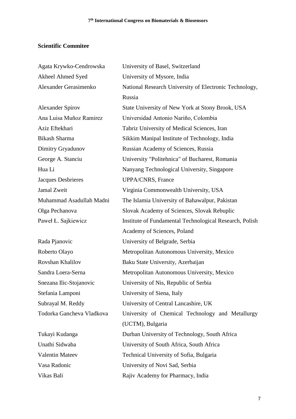## **Scientific Commitee**

| Agata Krywko-Cendrowska   | University of Basel, Switzerland                        |
|---------------------------|---------------------------------------------------------|
| Akheel Ahmed Syed         | University of Mysore, India                             |
| Alexander Gerasimenko     | National Research University of Electronic Technology,  |
|                           | Russia                                                  |
| <b>Alexander Spirov</b>   | State University of New York at Stony Brook, USA        |
| Ana Luisa Muñoz Ramirez   | Universidad Antonio Nariño, Colombia                    |
| Aziz Eftekhari            | Tabriz University of Medical Sciences, Iran             |
| <b>Bikash Sharma</b>      | Sikkim Manipal Institute of Technology, India           |
| Dimitry Gryadunov         | Russian Academy of Sciences, Russia                     |
| George A. Stanciu         | University "Politehnica" of Bucharest, Romania          |
| Hua Li                    | Nanyang Technological University, Singapore             |
| Jacques Desbrieres        | <b>UPPA/CNRS, France</b>                                |
| Jamal Zweit               | Virginia Commonwealth University, USA                   |
| Muhammad Asadullah Madni  | The Islamia University of Bahawalpur, Pakistan          |
| Olga Pechanova            | Slovak Academy of Sciences, Slovak Rebuplic             |
| Paweł Ł. Sajkiewicz       | Institute of Fundamental Technological Research, Polish |
|                           | Academy of Sciences, Poland                             |
| Rada Pjanovic             | University of Belgrade, Serbia                          |
| Roberto Olayo             | Metropolitan Autonomous University, Mexico              |
| Rovshan Khalilov          | Baku State University, Azerbaijan                       |
| Sandra Loera-Serna        | Metropolitan Autonomous University, Mexico              |
| Snezana Ilic-Stojanovic   | University of Nis, Republic of Serbia                   |
| Stefania Lamponi          | University of Siena, Italy                              |
| Subrayal M. Reddy         | University of Central Lancashire, UK                    |
| Todorka Gancheva Vladkova | University of Chemical Technology and Metallurgy        |
|                           | (UCTM), Bulgaria                                        |
| Tukayi Kudanga            | Durban University of Technology, South Africa           |
| Unathi Sidwaba            | University of South Africa, South Africa                |
| <b>Valentin Mateev</b>    | Technical University of Sofia, Bulgaria                 |
| Vasa Radonic              | University of Novi Sad, Serbia                          |
| Vikas Bali                | Rajiv Academy for Pharmacy, India                       |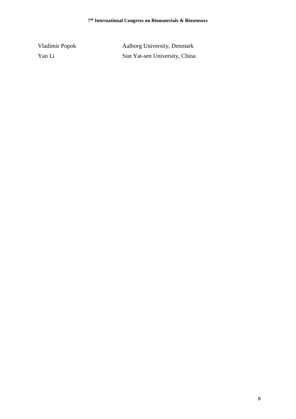| Vladimir Popok | Aalborg University, Denmark   |
|----------------|-------------------------------|
| Yan Li         | Sun Yat-sen University, China |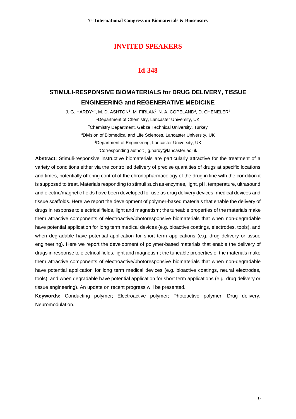## **Id-348**

## **STIMULI-RESPONSIVE BIOMATERIALS for DRUG DELIVERY, TISSUE ENGINEERING and REGENERATIVE MEDICINE**

J. G. HARDY1,\*, M. D. ASHTON1, M. FIRLAK<sup>2</sup>, N. A. COPELAND<sup>3</sup>, D. CHENELER<sup>4</sup> Department of Chemistry, Lancaster University, UK Chemistry Department, Gebze Technical University, Turkey Division of Biomedical and Life Sciences, Lancaster University, UK Department of Engineering, Lancaster University, UK \*Corresponding author: j.g.hardy@lancaster.ac.uk

**Abstract:** Stimuli-responsive instructive biomaterials are particularly attractive for the treatment of a variety of conditions either via the controlled delivery of precise quantities of drugs at specific locations and times, potentially offering control of the chronopharmacology of the drug in line with the condition it is supposed to treat. Materials responding to stimuli such as enzymes, light, pH, temperature, ultrasound and electric/magnetic fields have been developed for use as drug delivery devices, medical devices and tissue scaffolds. Here we report the development of polymer-based materials that enable the delivery of drugs in response to electrical fields, light and magnetism; the tuneable properties of the materials make them attractive components of electroactive/photoresponsive biomaterials that when non-degradable have potential application for long term medical devices (e.g. bioactive coatings, electrodes, tools), and when degradable have potential application for short term applications (e.g. drug delivery or tissue engineering). Here we report the development of polymer-based materials that enable the delivery of drugs in response to electrical fields, light and magnetism; the tuneable properties of the materials make them attractive components of electroactive/photoresponsive biomaterials that when non-degradable have potential application for long term medical devices (e.g. bioactive coatings, neural electrodes, tools), and when degradable have potential application for short term applications (e.g. drug delivery or tissue engineering). An update on recent progress will be presented.

**Keywords:** Conducting polymer; Electroactive polymer; Photoactive polymer; Drug delivery, Neuromodulation.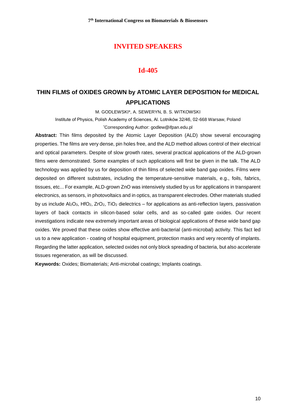#### **Id-405**

## **THIN FILMS of OXIDES GROWN by ATOMIC LAYER DEPOSITION for MEDICAL APPLICATIONS**

M. GODLEWSKI\*, A. SEWERYN, B. S. WITKOWSKI

Institute of Physics, Polish Academy of Sciences, Al. Lotników 32/46, 02-668 Warsaw, Poland

\*Corresponding Author: [godlew@ifpan.edu.pl](mailto:godlew@ifpan.edu.pl)

**Abstract:** Thin films deposited by the Atomic Layer Deposition (ALD) show several encouraging properties. The films are very dense, pin holes free, and the ALD method allows control of their electrical and optical parameters. Despite of slow growth rates, several practical applications of the ALD-grown films were demonstrated. Some examples of such applications will first be given in the talk. The ALD technology was applied by us for deposition of thin films of selected wide band gap oxides. Films were deposited on different substrates, including the temperature-sensitive materials, e.g., foils, fabrics, tissues, etc... For example, ALD-grown ZnO was intensively studied by us for applications in transparent electronics, as sensors, in photovoltaics and in optics, as transparent electrodes. Other materials studied by us include  $Al_2O_3$ , HfO<sub>2</sub>, ZrO<sub>2</sub>, TiO<sub>2</sub> dielectrics – for applications as anti-reflection layers, passivation layers of back contacts in silicon-based solar cells, and as so-called gate oxides. Our recent investigations indicate new extremely important areas of biological applications of these wide band gap oxides. We proved that these oxides show effective anti-bacterial (anti-microbal) activity. This fact led us to a new application - coating of hospital equipment, protection masks and very recently of implants. Regarding the latter application, selected oxides not only block spreading of bacteria, but also accelerate tissues regeneration, as will be discussed.

**Keywords:** Oxides; Biomaterials; Anti-microbal coatings; Implants coatings.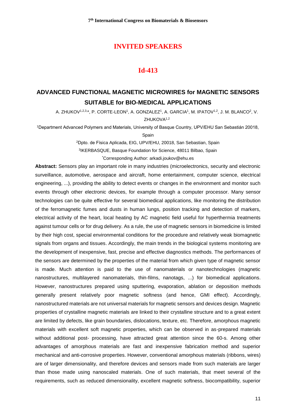## **Id-413**

## **ADVANCED FUNCTIONAL MAGNETIC MICROWIRES for MAGNETIC SENSORS SUITABLE for BIO-MEDICAL APPLICATIONS**

A. ZHUKOV1<sup>,2,3,</sup>\*, P. CORTE-LEON<sup>1</sup>, A. GONZALEZ'1, A. GARCIA'1, M. IPATOV1<sup>,2</sup>, J. M. BLANCO<sup>2</sup>, V. ZHUKOVA<sup>1,2</sup>

<sup>1</sup>Department Advanced Polymers and Materials, University of Basque Country, UPV/EHU San Sebastián 20018, Spain

> <sup>2</sup>Dpto. de Física Aplicada, EIG, UPV/EHU, 20018, San Sebastian, Spain 3 IKERBASQUE, Basque Foundation for Science, 48011 Bilbao, Spain \*Corresponding Author: arkadi.joukov@ehu.es

**Abstract:** Sensors play an important role in many industries (microelectronics, security and electronic surveillance, automotive, aerospace and aircraft, home entertainment, computer science, electrical engineering, ...), providing the ability to detect events or changes in the environment and monitor such events through other electronic devices, for example through a computer processor. Many sensor technologies can be quite effective for several biomedical applications, like monitoring the distribution of the ferromagnetic fumes and dusts in human lungs, position tracking and detection of markers, electrical activity of the heart, local heating by AC magnetic field useful for hyperthermia treatments against tumour cells or for drug delivery. As a rule, the use of magnetic sensors in biomedicine is limited by their high cost, special environmental conditions for the procedure and relatively weak biomagnetic signals from organs and tissues. Accordingly, the main trends in the biological systems monitoring are the development of inexpensive, fast, precise and effective diagnostics methods. The performances of the sensors are determined by the properties of the material from which given type of magnetic sensor is made. Much attention is paid to the use of nanomaterials or nanotechnologies (magnetic nanostructures, multilayered nanomaterials, thin-films, nanotags, ...) for biomedical applications. However, nanostructures prepared using sputtering, evaporation, ablation or deposition methods generally present relatively poor magnetic softness (and hence, GMI effect). Accordingly, nanostructured materials are not universal materials for magnetic sensors and devices design. Magnetic properties of crystalline magnetic materials are linked to their crystalline structure and to a great extent are limited by defects, like grain boundaries, dislocations, texture, etc. Therefore, amorphous magnetic materials with excellent soft magnetic properties, which can be observed in as-prepared materials without additional post- processing, have attracted great attention since the 60-s. Among other advantages of amorphous materials are fast and inexpensive fabrication method and superior mechanical and anti-corrosive properties. However, conventional amorphous materials (ribbons, wires) are of larger dimensionality, and therefore devices and sensors made from such materials are larger than those made using nanoscaled materials. One of such materials, that meet several of the requirements, such as reduced dimensionality, excellent magnetic softness, biocompatibility, superior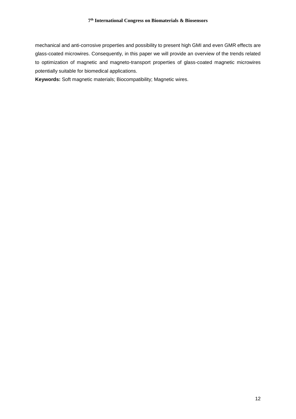mechanical and anti-corrosive properties and possibility to present high GMI and even GMR effects are glass-coated microwires. Consequently, in this paper we will provide an overview of the trends related to optimization of magnetic and magneto-transport properties of glass-coated magnetic microwires potentially suitable for biomedical applications.

**Keywords:** Soft magnetic materials; Biocompatibility; Magnetic wires.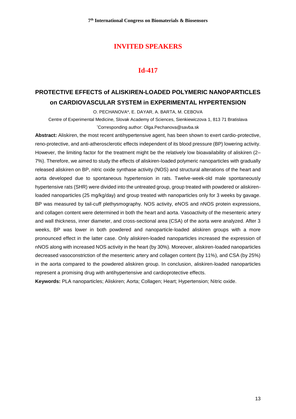## **Id-417**

# **PROTECTIVE EFFECTS of ALISKIREN-LOADED POLYMERIC NANOPARTICLES on CARDIOVASCULAR SYSTEM in EXPERIMENTAL HYPERTENSION**

O. PECHANOVA\*, E. DAYAR, A. BARTA, M. CEBOVA

Centre of Experimental Medicine, Slovak Academy of Sciences, Sienkiewiczova 1, 813 71 Bratislava \*Corresponding author: [Olga.Pechanova@savba.sk](mailto:Olga.Pechanova@savba.sk)

**Abstract:** Aliskiren, the most recent antihypertensive agent, has been shown to exert cardio-protective, reno-protective, and anti-atherosclerotic effects independent of its blood pressure (BP) lowering activity. However, the limiting factor for the treatment might be the relatively low bioavailability of aliskiren (2– 7%). Therefore, we aimed to study the effects of aliskiren-loaded polymeric nanoparticles with gradually released aliskiren on BP, nitric oxide synthase activity (NOS) and structural alterations of the heart and aorta developed due to spontaneous hypertension in rats. Twelve-week-old male spontaneously hypertensive rats (SHR) were divided into the untreated group, group treated with powdered or aliskirenloaded nanoparticles (25 mg/kg/day) and group treated with nanoparticles only for 3 weeks by gavage. BP was measured by tail-cuff plethysmography. NOS activity, eNOS and nNOS protein expressions, and collagen content were determined in both the heart and aorta. Vasoactivity of the mesenteric artery and wall thickness, inner diameter, and cross-sectional area (CSA) of the aorta were analyzed. After 3 weeks, BP was lower in both powdered and nanoparticle-loaded aliskiren groups with a more pronounced effect in the latter case. Only aliskiren-loaded nanoparticles increased the expression of nNOS along with increased NOS activity in the heart (by 30%). Moreover, aliskiren-loaded nanoparticles decreased vasoconstriction of the mesenteric artery and collagen content (by 11%), and CSA (by 25%) in the aorta compared to the powdered aliskiren group. In conclusion, aliskiren-loaded nanoparticles represent a promising drug with antihypertensive and cardioprotective effects.

**Keywords:** PLA nanoparticles; Aliskiren; Aorta; Collagen; Heart; Hypertension; Nitric oxide.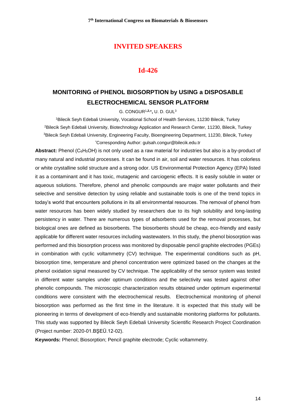#### **Id-426**

## **MONITORING of PHENOL BIOSORPTION by USING a DISPOSABLE ELECTROCHEMICAL SENSOR PLATFORM**

G. CONGUR<sup>1</sup>**,2,** \***,** U. D. GUL 3

<sup>1</sup>Bilecik Seyh Edebali University, Vocational School of Health Services, 11230 Bilecik, Turkey <sup>2</sup>Bilecik Seyh Edebali University, Biotechnology Application and Research Center, 11230, Bilecik, Turkey <sup>3</sup>Bilecik Seyh Edebali University, Engineering Faculty, Bioengineering Department, 11230, Bilecik, Turkey \*Corresponding Author: gulsah.congur@bilecik.edu.tr

Abstract: Phenol (C<sub>6</sub>H<sub>5</sub>OH) is not only used as a raw material for industries but also is a by-product of many natural and industrial processes. It can be found in air, soil and water resources. It has colorless or white crystalline solid structure and a strong odor. US Environmental Protection Agency (EPA) listed it as a contaminant and it has toxic, mutagenic and carciogenic effects. It is easily soluble in water or aqueous solutions. Therefore, phenol and phenolic compounds are major water pollutants and their selective and sensitive detection by using reliable and sustainable tools is one of the trend topics in today's world that encounters pollutions in its all environmental resources. The removal of phenol from water resources has been widely studied by researchers due to its high solubility and long-lasting persistency in water. There are numerous types of adsorbents used for the removal processes, but biological ones are defined as biosorbents. The biosorbents should be cheap, eco-friendly and easily applicable for different water resources including wastewaters. In this study, the phenol biosorption was performed and this biosorption process was monitored by disposable pencil graphite electrodes (PGEs) in combination with cyclic voltammetry (CV) technique. The experimental conditions such as pH, biosorption time, temperature and phenol concentration were optimized based on the changes at the phenol oxidation signal measured by CV technique. The applicability of the sensor system was tested in different water samples under optimum conditions and the selectivity was tested against other phenolic compounds. The microscopic characterization results obtained under optimum experimental conditions were consistent with the electrochemical results. Electrochemical monitoring of phenol biosorption was performed as the first time in the literature. It is expected that this study will be pioneering in terms of development of eco-friendly and sustainable monitoring platforms for pollutants. This study was supported by Bilecik Seyh Edebali University Scientific Research Project Coordination (Project number: 2020-01.BŞEÜ.12-02).

**Keywords:** Phenol; Biosorption; Pencil graphite electrode; Cyclic voltammetry.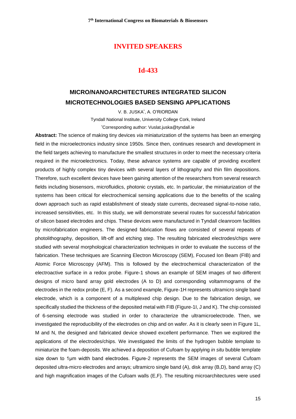## **Id-433**

## **MICRO/NANOARCHITECTURES INTEGRATED SILICON MICROTECHNOLOGIES BASED SENSING APPLICATIONS**

V. B. JUSKA\* , A. O'RIORDAN

Tyndall National Institute, University College Cork, Ireland

\*Corresponding author: [Vuslat.juska@tyndall.ie](mailto:Vuslat.juska@tyndall.ie)

**Abstract:** The science of making tiny devices *via* miniaturization of the systems has been an emerging field in the microelectronics industry since 1950s. Since then, continues research and development in the field targets achieving to manufacture the smallest structures in order to meet the necessary criteria required in the microelectronics. Today, these advance systems are capable of providing excellent products of highly complex tiny devices with several layers of lithography and thin film depositions. Therefore, such excellent devices have been gaining attention of the researchers from several research fields including biosensors, microfluidics, photonic crystals, etc. In particular, the miniaturization of the systems has been critical for electrochemical sensing applications due to the benefits of the scaling down approach such as rapid establishment of steady state currents, decreased signal-to-noise ratio, increased sensitivities, etc. In this study, we will demonstrate several routes for successful fabrication of silicon based electrodes and chips. These devices were manufactured in Tyndall cleanroom facilities by microfabrication engineers. The designed fabrication flows are consisted of several repeats of photolithography, deposition, lift-off and etching step. The resulting fabricated electrodes/chips were studied with several morphological characterization techniques in order to evaluate the success of the fabrication. These techniques are Scanning Electron Microscopy (SEM), Focused Ion Beam (FIB) and Atomic Force Microscopy (AFM). This is followed by the electrochemical characterization of the electroactive surface in a redox probe. Figure-1 shows an example of SEM images of two different designs of micro band array gold electrodes (A to D) and corresponding voltammograms of the electrodes in the redox probe (E, F). As a second example, Figure-1H represents ultramicro single band electrode, which is a component of a multiplexed chip design. Due to the fabrication design, we specifically studied the thickness of the deposited metal with FIB (Figure-1I, J and K). The chip consisted of 6-sensing electrode was studied in order to characterize the ultramicroelectrode. Then, we investigated the reproducibility of the electrodes on chip and on wafer. As it is clearly seen in Figure 1L, M and N, the designed and fabricated device showed excellent performance. Then we explored the applications of the electrodes/chips. We investigated the limits of the hydrogen bubble template to miniaturize the foam-deposits. We achieved a deposition of Cufoam by applying *in situ* bubble template size down to 1µm width band electrodes. Figure-2 represents the SEM images of several Cufoam deposited ultra-micro electrodes and arrays; ultramicro single band (A), disk array (B,D), band array (C) and high magnification images of the Cufoam walls (E,F). The resulting microarchitectures were used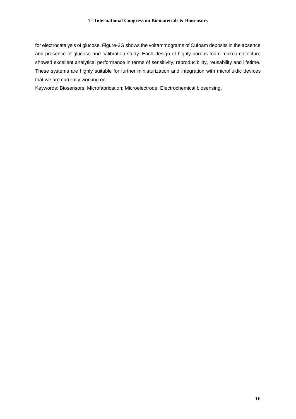for electrocatalysis of glucose. Figure-2G shows the voltammograms of Cufoam deposits in the absence and presence of glucose and calibration study. Each design of highly porous foam microarchitecture showed excellent analytical performance in terms of sensitivity, reproducibility, reusability and lifetime. These systems are highly suitable for further miniaturization and integration with microfluidic devices that we are currently working on.

Keywords: Biosensors; Microfabrication; Microelectrode; Electrochemical biosensing.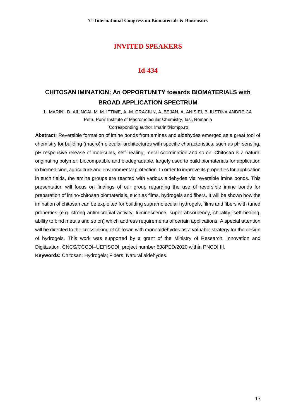## **Id-434**

## **CHITOSAN IMINATION: An OPPORTUNITY towards BIOMATERIALS with BROAD APPLICATION SPECTRUM**

L. MARIN\* , D. AILINCAI, M. M. IFTIME, A.-M. CRACIUN, A. BEJAN, A. ANISIEI, B. IUSTINA ANDREICA Petru Poni" Institute of Macromolecular Chemistry, Iasi, Romania

\*[Corresponding author:](mailto:*Corresponding%20author:%20lmarin@icmpp.ro) lmarin@icmpp.ro

**Abstract:** Reversible formation of imine bonds from amines and aldehydes emerged as a great tool of chemistry for building (macro)molecular architectures with specific characteristics, such as pH sensing, pH responsive release of molecules, self-healing, metal coordination and so on. Chitosan is a natural originating polymer, biocompatible and biodegradable, largely used to build biomaterials for application in biomedicine, agriculture and environmental protection. In order to improve its properties for application in such fields, the amine groups are reacted with various aldehydes via reversible imine bonds. This presentation will focus on findings of our group regarding the use of reversible imine bonds for preparation of imino-chitosan biomaterials, such as films, hydrogels and fibers. It will be shown how the imination of chitosan can be exploited for building supramolecular hydrogels, films and fibers with tuned properties (e.g. strong antimicrobial activity, luminescence, super absorbency, chirality, self-healing, ability to bind metals and so on) which address requirements of certain applications. A special attention will be directed to the crosslinking of chitosan with monoaldehydes as a valuable strategy for the design of hydrogels. This work was supported by a grant of the Ministry of Research, Innovation and Digitization, CNCS/CCCDI–UEFISCDI, project number 538PED/2020 within PNCDI III. **Keywords:** Chitosan; Hydrogels; Fibers; Natural aldehydes.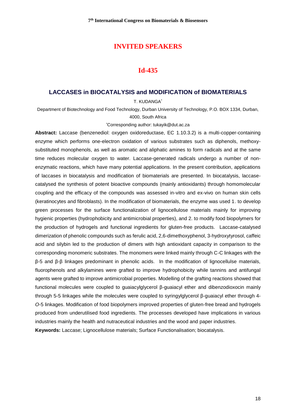#### **Id-435**

#### **LACCASES in BIOCATALYSIS and MODIFICATION of BIOMATERIALS**

T. KUDANGA\*

Department of Biotechnology and Food Technology, Durban University of Technology, P.O. BOX 1334, Durban, 4000, South Africa

#### \*Corresponding author: tukayik@dut.ac.za

**Abstract:** Laccase (benzenediol: oxygen oxidoreductase, EC 1.10.3.2) is a multi-copper-containing enzyme which performs one-electron oxidation of various substrates such as diphenols, methoxysubstituted monophenols, as well as aromatic and aliphatic amines to form radicals and at the same time reduces molecular oxygen to water. Laccase-generated radicals undergo a number of nonenzymatic reactions, which have many potential applications. In the present contribution, applications of laccases in biocatalysis and modification of biomaterials are presented. In biocatalysis, laccasecatalysed the synthesis of potent bioactive compounds (mainly antioxidants) through homomolecular coupling and the efficacy of the compounds was assessed in-vitro and ex-vivo on human skin cells (keratinocytes and fibroblasts). In the modification of biomaterials, the enzyme was used 1. to develop green processes for the surface functionalization of lignocellulose materials mainly for improving hygienic properties (hydrophobicity and antimicrobial properties), and 2. to modify food biopolymers for the production of hydrogels and functional ingredients for gluten-free products. Laccase-catalysed dimerization of phenolic compounds such as ferulic acid, 2,6-dimethoxyphenol, 3-hydroxytyrosol, caffeic acid and silybin led to the production of dimers with high antioxidant capacity in comparison to the corresponding monomeric substrates. The monomers were linked mainly through C-C linkages with the β-5 and β-β linkages predominant in phenolic acids. In the modification of lignocellulse materials, fluorophenols and alkylamines were grafted to improve hydrophobicity while tannins and antifungal agents were grafted to improve antimicrobial properties. Modelling of the grafting reactions showed that functional molecules were coupled to guaiacylglycerol β-guaiacyl ether and dibenzodioxocin mainly through 5-5 linkages while the molecules were coupled to syringylglycerol β-guaiacyl ether through 4- *O*-5 linkages. Modification of food biopolymers improved properties of gluten-free bread and hydrogels produced from underutilised food ingredients. The processes developed have implications in various industries mainly the health and nutraceutical industries and the wood and paper industries. **Keywords:** Laccase; Lignocellulose materials; Surface Functionalisation; biocatalysis.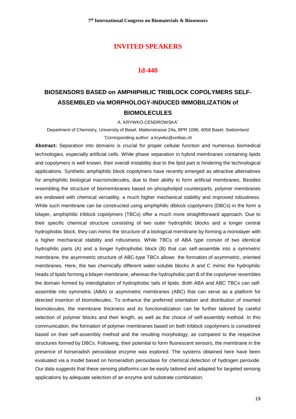#### **Id-440**

# **BIOSENSORS BASED on AMPHIPHILIC TRIBLOCK COPOLYMERS SELF-ASSEMBLED via MORPHOLOGY-INDUCED IMMOBILIZATION of BIOMOLECULES**

A. KRYWKO-CENDROWSKA\*

Department of Chemistry, University of Basel, Mattenstrasse 24a, BPR 1096, 4058 Basel, Switzerland \*Corresponding author: a.krywko@unibas.ch

**Abstract:** Separation into domains is crucial for proper cellular function and numerous biomedical technologies, especially artificial cells. While phase separation in hybrid membranes containing lipids and copolymers is well known, their overall instability due to the lipid part is hindering the technological applications. Synthetic amphiphilic block copolymers have recently emerged as attractive alternatives for amphiphilic biological macromolecules, due to their ability to form artificial membranes. Besides resembling the structure of biomembranes based on phospholipid counterparts, polymer membranes are endowed with chemical versatility, a much higher mechanical stability and improved robustness. While such membrane can be constructed using amphiphilic diblock copolymers (DBCs) in the form a bilayer, amphiphilic triblock copolymers (TBCs) offer a much more straightforward approach. Due to their specific chemical structure consisting of two outer hydrophilic blocks and a longer central hydrophobic block, they can mimic the structure of a biological membrane by forming a monolayer with a higher mechanical stability and robustness. While TBCs of ABA type consist of two identical hydrophilic parts (A) and a longer hydrophobic block (B) that can self-assemble into a symmetric membrane, the asymmetric structure of ABC-type TBCs allows the formation of asymmetric, oriented membranes. Here, the two chemically different water-soluble blocks A and C mimic the hydrophilic heads of lipids forming a bilayer membrane, whereas the hydrophobic part B of the copolymer resembles the domain formed by interdigitation of hydrophobic tails of lipids. Both ABA and ABC TBCs can selfassemble into symmetric (ABA) or asymmetric membranes (ABC) that can serve as a platform for directed insertion of biomolecules. To enhance the preferred orientation and distribution of inserted biomolecules, the membrane thickness and its functionalization can be further tailored by careful selection of polymer blocks and their length, as well as the choice of self-assembly method. In this communication, the formation of polymer membranes based on both triblock copolymers is considered based on their self-assembly method and the resulting morphology, as compared to the respective structures formed by DBCs. Following, their potential to form fluorescent sensors, the membrane in the presence of horseradish peroxidase enzyme was explored. The systems obtained here have been evaluated via a model based on horseradish peroxidase for chemical detection of hydrogen peroxide. Our data suggests that these sensing platforms can be easily tailored and adapted for targeted sensing applications by adequate selection of an enzyme and substrate combination.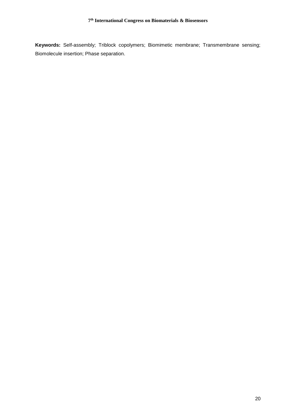**Keywords:** Self-assembly; Triblock copolymers; Biomimetic membrane; Transmembrane sensing; Biomolecule insertion; Phase separation.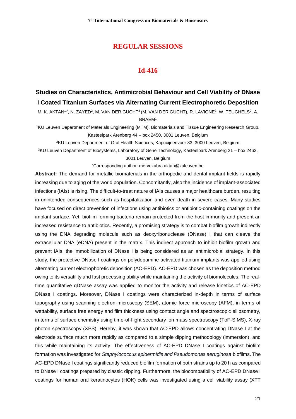#### **REGULAR SESSIONS**

#### **Id-416**

## **Studies on Characteristics, Antimicrobial Behaviour and Cell Viability of DNase I Coated Titanium Surfaces via Alternating Current Electrophoretic Deposition**

M. K. AKTAN1<sub>'</sub>\*, N. ZAYED<sup>2</sup>, M. VAN DER GUCHT<sup>3</sup> (M. VAN DER GUCHT), R. LAVIGNE<sup>3</sup>, W. TEUGHELS<sup>2</sup>, A. BRAEM<sup>1</sup>

<sup>1</sup>KU Leuven Department of Materials Engineering (MTM), Biomaterials and Tissue Engineering Research Group, Kasteelpark Arenberg 44 – box 2450, 3001 Leuven, Belgium

<sup>2</sup>KU Leuven Department of Oral Health Sciences, Kapucijnenvoer 33, 3000 Leuven, Belgium

<sup>3</sup>KU Leuven Department of Biosystems, Laboratory of Gene Technology, Kasteelpark Arenberg 21 – box 2462, 3001 Leuven, Belgium

\*[Corresponding author: mervekubra.aktan@kuleuven.be](mailto:*Corresponding%20author:%20mervekubra.aktan@kuleuven.be)

**Abstract:** The demand for metallic biomaterials in the orthopedic and dental implant fields is rapidly increasing due to aging of the world population. Concomitantly, also the incidence of implant-associated infections (IAIs) is rising. The difficult-to-treat nature of IAIs causes a major healthcare burden, resulting in unintended consequences such as hospitalization and even death in severe cases. Many studies have focused on direct prevention of infections using antibiotics or antibiotic-containing coatings on the implant surface. Yet, biofilm-forming bacteria remain protected from the host immunity and present an increased resistance to antibiotics. Recently, a promising strategy is to combat biofilm growth indirectly using the DNA degrading molecule such as deoxyribonuclease (DNase) I that can cleave the extracellular DNA (eDNA) present in the matrix. This indirect approach to inhibit biofilm growth and prevent IAIs, the immobilization of DNase I is being considered as an antimicrobial strategy. In this study, the protective DNase I coatings on polydopamine activated titanium implants was applied using alternating current electrophoretic deposition (AC-EPD). AC-EPD was chosen as the deposition method owing to its versatility and fast processing ability while maintaining the activity of biomolecules. The realtime quantitative qDNase assay was applied to monitor the activity and release kinetics of AC-EPD DNase I coatings. Moreover, DNase I coatings were characterized in-depth in terms of surface topography using scanning electron microscopy (SEM), atomic force microscopy (AFM), in terms of wettability, surface free energy and film thickness using contact angle and spectroscopic ellipsometry, in terms of surface chemistry using time-of-flight secondary ion mass spectroscopy (ToF-SIMS), X-ray photon spectroscopy (XPS). Hereby, it was shown that AC-EPD allows concentrating DNase I at the electrode surface much more rapidly as compared to a simple dipping methodology (immersion), and this while maintaining its activity. The effectiveness of AC-EPD DNase I coatings against biofilm formation was investigated for *Staphylococcus epidermidis and Pseudomonas aeruginosa* biofilms. The AC-EPD DNase I coatings significantly reduced biofilm formation of both strains up to 20 h as compared to DNase I coatings prepared by classic dipping. Furthermore, the biocompatibility of AC-EPD DNase I coatings for human oral keratinocytes (HOK) cells was investigated using a cell viability assay (XTT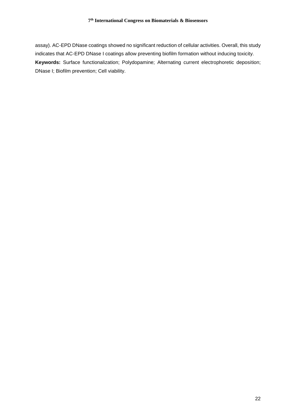assay). AC-EPD DNase coatings showed no significant reduction of cellular activities. Overall, this study indicates that AC-EPD DNase I coatings allow preventing biofilm formation without inducing toxicity. **Keywords:** Surface functionalization; Polydopamine; Alternating current electrophoretic deposition; DNase I; Biofilm prevention; Cell viability.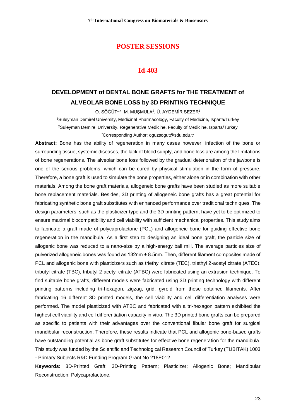#### **Id-403**

## **DEVELOPMENT of DENTAL BONE GRAFTS for THE TREATMENT of ALVEOLAR BONE LOSS by 3D PRINTING TECHNIQUE**

O. SÖĞÜT<sup>1,\*</sup>, M. MUŞMULA<sup>2</sup>, Ü. AYDEMİR SEZER<sup>1</sup>

<sup>1</sup>Suleyman Demirel University, Medicinal Pharmacology, Faculty of Medicine, Isparta/Turkey <sup>2</sup>Suleyman Demirel University, Regenerative Medicine, Faculty of Medicine, Isparta/Turkey \*Corresponding Author: [oguzsogut@sdu.edu.tr](mailto:oguzsogut@sdu.edu.tr)

**Abstract:** Bone has the ability of regeneration in many cases however, infection of the bone or surrounding tissue, systemic diseases, the lack of blood supply, and bone loss are among the limitations of bone regenerations. The alveolar bone loss followed by the gradual deterioration of the jawbone is one of the serious problems, which can be cured by physical stimulation in the form of pressure. Therefore, a bone graft is used to simulate the bone properties, either alone or in combination with other materials. Among the bone graft materials, allogeneic bone grafts have been studied as more suitable bone replacement materials. Besides, 3D printing of allogeneic bone grafts has a great potential for fabricating synthetic bone graft substitutes with enhanced performance over traditional techniques. The design parameters, such as the plasticizer type and the 3D printing pattern, have yet to be optimized to ensure maximal biocompatibility and cell viability with sufficient mechanical properties. This study aims to fabricate a graft made of polycaprolactone (PCL) and allogeneic bone for guiding effective bone regeneration in the mandibula. As a first step to designing an ideal bone graft, the particle size of allogenic bone was reduced to a nano-size by a high-energy ball mill. The average particles size of pulverized allogeneic bones was found as 132nm ± 8.5nm. Then, different filament composites made of PCL and allogenic bone with plasticizers such as triethyl citrate (TEC), triethyl 2-acetyl citrate (ATEC), tributyl citrate (TBC), tributyl 2-acetyl citrate (ATBC) were fabricated using an extrusion technique. To find suitable bone grafts, different models were fabricated using 3D printing technology with different printing patterns including tri-hexagon, zigzag, grid, gyroid from those obtained filaments. After fabricating 16 different 3D printed models, the cell viability and cell differentiation analyses were performed. The model plasticized with ATBC and fabricated with a tri-hexagon pattern exhibited the highest cell viability and cell differentiation capacity in vitro. The 3D printed bone grafts can be prepared as specific to patients with their advantages over the conventional fibular bone graft for surgical mandibular reconstruction. Therefore, these results indicate that PCL and allogenic bone-based grafts have outstanding potential as bone graft substitutes for effective bone regeneration for the mandibula. This study was funded by the Scientific and Technological Research Council of Turkey (TUBITAK) 1003 - Primary Subjects R&D Funding Program Grant No 218E012.

**Keywords:** 3D-Printed Graft; 3D-Printing Pattern; Plasticizer; Allogenic Bone; Mandibular Reconstruction; Polycaprolactone.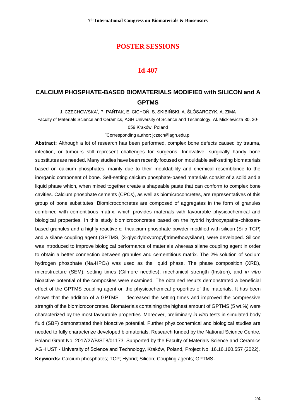#### **Id-407**

## **CALCIUM PHOSPHATE-BASED BIOMATERIALS MODIFIED with SILICON and A GPTMS**

J. CZECHOWSKA\* , P. PAŃTAK, E. CICHOŃ, S. SKIBIŃSKI, A. ŚLÓSARCZYK, A. ZIMA

Faculty of Materials Science and Ceramics, AGH University of Science and Technology, Al. Mickiewicza 30, 30-

#### 059 Kraków, Poland

\*Corresponding author[: jczech@agh.edu.pl](mailto:jczech@agh.edu.pl)

**Abstract:** Although a lot of research has been performed, complex bone defects caused by trauma, infection, or tumours still represent challenges for surgeons. Innovative, surgically handy bone substitutes are needed. Many studies have been recently focused on mouldable self-setting biomaterials based on calcium phosphates, mainly due to their mouldability and chemical resemblance to the inorganic component of bone. Self-setting calcium phosphate-based materials consist of a solid and a liquid phase which, when mixed together create a shapeable paste that can conform to complex bone cavities. Calcium phosphate cements (CPCs), as well as biomicroconcretes, are representatives of this group of bone substitutes. Biomicroconcretes are composed of aggregates in the form of granules combined with cementitious matrix, which provides materials with favourable physicochemical and biological properties. In this study biomicroconcretes based on the hybrid hydroxyapatite-chitosanbased granules and a highly reactive  $\alpha$ - tricalcium phosphate powder modified with silicon (Si- $\alpha$ -TCP) and a silane coupling agent (GPTMS, (3-glycidyloxypropyl)trimethoxysilane), were developed. Silicon was introduced to improve biological performance of materials whereas silane coupling agent in order to obtain a better connection between granules and cementitious matrix. The 2% solution of sodium hydrogen phosphate (Na2HPO4) was used as the liquid phase. The phase composition (XRD), microstructure (SEM), setting times (Gilmore needles), mechanical strength (Instron), and *in vitro* bioactive potential of the composites were examined. The obtained results demonstrated a beneficial effect of the GPTMS coupling agent on the physicochemical properties of the materials. It has been shown that the addition of a GPTMS decreased the setting times and improved the compressive strength of the biomicroconcretes. Biomaterials containing the highest amount of GPTMS (5 wt.%) were characterized by the most favourable properties. Moreover, preliminary *in vitro* tests in simulated body fluid (SBF) demonstrated their bioactive potential. Further physicochemical and biological studies are needed to fully characterize developed biomaterials. Research funded by the National Science Centre, Poland Grant No. 2017/27/B/ST8/01173. Supported by the Faculty of Materials Science and Ceramics AGH UST - University of Science and Technology, Kraków, Poland, Project No. 16.16.160.557 (2022). **Keywords:** Calcium phosphates; TCP; Hybrid; Silicon; Coupling agents; GPTMS.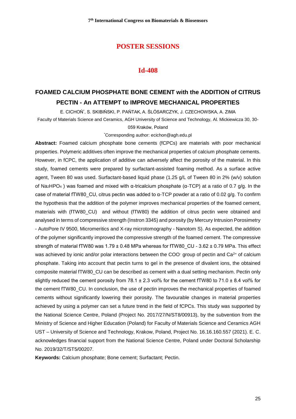#### **Id-408**

# **FOAMED CALCIUM PHOSPHATE BONE CEMENT with the ADDITION of CITRUS PECTIN - An ATTEMPT to IMPROVE MECHANICAL PROPERTIES**

E. CICHOŃ\* , S. SKIBIŃSKI, P. PAŃTAK, A. ŚLÓSARCZYK, J. CZECHOWSKA, A. ZIMA

Faculty of Materials Science and Ceramics, AGH University of Science and Technology, Al. Mickiewicza 30, 30-

059 Kraków, Poland

\*Corresponding author: [ecichon@agh.edu.pl](mailto:ecichon@agh.edu.pl)

**Abstract:** Foamed calcium phosphate bone cements (fCPCs) are materials with poor mechanical properties. Polymeric additives often improve the mechanical properties of calcium phosphate cements. However, in fCPC, the application of additive can adversely affect the porosity of the material. In this study, foamed cements were prepared by surfactant-assisted foaming method. As a surface active agent, Tween 80 was used. Surfactant-based liquid phase (1.25 g/L of Tween 80 in 2% (w/v) solution of Na2HPO<sup>4</sup> ) was foamed and mixed with α-tricalcium phosphate (α-TCP) at a ratio of 0.7 g/g. In the case of material fTW80\_CU, citrus pectin was added to α-TCP powder at a ratio of 0.02 g/g. To confirm the hypothesis that the addition of the polymer improves mechanical properties of the foamed cement, materials with (fTW80\_CU) and without (fTW80) the addition of citrus pectin were obtained and analysed in terms of compressive strength (Instron 3345) and porosity (by Mercury Intrusion Porosimetry - AutoPore IV 9500, Micromeritics and X-ray microtomography - Nanotom S). As expected, the addition of the polymer significantly improved the compressive strength of the foamed cement. The compressive strength of material fTW80 was 1.79 ± 0.48 MPa whereas for fTW80 CU - 3.62 ± 0.79 MPa. This effect was achieved by ionic and/or polar interactions between the COO<sup>-</sup> group of pectin and Ca<sup>2+</sup> of calcium phosphate. Taking into account that pectin turns to gel in the presence of divalent ions, the obtained composite material fTW80\_CU can be described as cement with a dual setting mechanism. Pectin only slightly reduced the cement porosity from  $78.1 \pm 2.3$  vol% for the cement fTW80 to  $71.0 \pm 8.4$  vol% for the cement fTW80\_CU. In conclusion, the use of pectin improves the mechanical properties of foamed cements without significantly lowering their porosity. The favourable changes in material properties achieved by using a polymer can set a future trend in the field of fCPCs. This study was supported by the National Science Centre, Poland (Project No. 2017/27/N/ST8/00913), by the subvention from the Ministry of Science and Higher Education (Poland) for Faculty of Materials Science and Ceramics AGH UST – University of Science and Technology, Krakow, Poland, Project No. 16.16.160.557 (2021). E. C. acknowledges financial support from the National Science Centre, Poland under Doctoral Scholarship No. 2019/32/T/ST5/00207.

**Keywords:** Calcium phosphate; Bone cement; Surfactant; Pectin.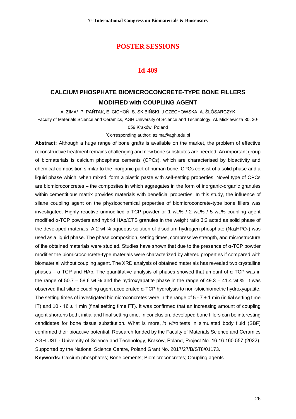#### **Id-409**

## **CALCIUM PHOSPHATE BIOMICROCONCRETE-TYPE BONE FILLERS MODIFIED with COUPLING AGENT**

A. ZIMA\*, P. PAŃTAK, E. CICHOŃ, S. SKIBIŃSKI, J CZECHOWSKA, A. ŚLÓSARCZYK

Faculty of Materials Science and Ceramics, AGH University of Science and Technology, Al. Mickiewicza 30, 30-

059 Kraków, Poland

\*Corresponding author: [azima@agh.edu.pl](mailto:azima@agh.edu.pl)

**Abstract:** Although a huge range of bone grafts is available on the market, the problem of effective reconstructive treatment remains challenging and new bone substitutes are needed. An important group of biomaterials is calcium phosphate cements (CPCs), which are characterised by bioactivity and chemical composition similar to the inorganic part of human bone. CPCs consist of a solid phase and a liquid phase which, when mixed, form a plastic paste with self-setting properties. Novel type of CPCs are biomicroconcretes – the composites in which aggregates in the form of inorganic-organic granules within cementitious matrix provides materials with beneficial properties. In this study, the influence of silane coupling agent on the physicochemical properties of biomicroconcrete-type bone fillers was investigated. Highly reactive unmodified α-TCP powder or 1 wt.% / 2 wt.% / 5 wt.% coupling agent modified α-TCP powders and hybrid HAp/CTS granules in the weight ratio 3:2 acted as solid phase of the developed materials. A 2 wt.% aqueous solution of disodium hydrogen phosphate ( $Na<sub>2</sub>HPO<sub>4</sub>$ ) was used as a liquid phase. The phase composition, setting times, compressive strength, and microstructure of the obtained materials were studied. Studies have shown that due to the presence of α-TCP powder modifier the biomicroconcrete-type materials were characterized by altered properties if compared with biomaterial without coupling agent. The XRD analysis of obtained materials has revealed two crystalline phases –  $α$ -TCP and HAp. The quantitative analysis of phases showed that amount of  $α$ -TCP was in the range of  $50.7 - 58.6$  wt.% and the hydroxyapatite phase in the range of  $49.3 - 41.4$  wt.%. It was observed that silane coupling agent accelerated α-TCP hydrolysis to non-stoichiometric hydroxyapatite. The setting times of investigated biomicroconcretes were in the range of  $5 - 7 \pm 1$  min (initial setting time IT) and 10 - 16  $\pm$  1 min (final setting time FT). It was confirmed that an increasing amount of coupling agent shortens both, initial and final setting time. In conclusion, developed bone fillers can be interesting candidates for bone tissue substitution. What is more, *in vitro* tests in simulated body fluid (SBF) confirmed their bioactive potential. Research funded by the Faculty of Materials Science and Ceramics AGH UST - University of Science and Technology, Kraków, Poland, Project No. 16.16.160.557 (2022). Supported by the National Science Centre, Poland Grant No. 2017/27/B/ST8/01173. **Keywords:** Calcium phosphates; Bone cements; Biomicroconcretes; Coupling agents.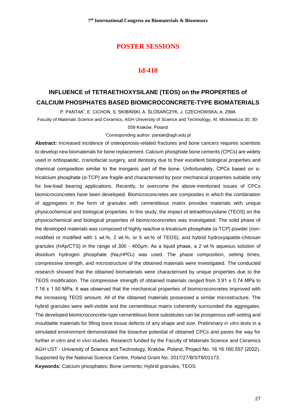#### **Id-410**

# **INFLUENCE of TETRAETHOXYSILANE (TEOS) on the PROPERTIES of CALCIUM PHOSPHATES BASED BIOMICROCONCRETE-TYPE BIOMATERIALS**

P. PAŃTAK\* , E. CICHOŃ, S. SKIBIŃSKI, A. ŚLÓSARCZYK, J. CZECHOWSKA, A. ZIMA

Faculty of Materials Science and Ceramics, AGH University of Science and Technology, Al. Mickiewicza 30, 30-

059 Kraków, Poland

\*Corresponding author: [pantak@agh.edu.pl](mailto:pantak@agh.edu.pl)

**Abstract:** Increased incidence of osteoporosis-related fractures and bone cancers requires scientists to develop new biomaterials for bone replacement. Calcium phosphate bone cements (CPCs) are widely used in orthopaedic, craniofacial surgery, and dentistry due to their excellent biological properties and chemical composition similar to the inorganic part of the bone. Unfortunately, CPCs based on αtricalcium phosphate (α-TCP) are fragile and characterised by poor mechanical properties suitable only for low-load bearing applications. Recently, to overcome the above-mentioned issues of CPCs biomicroconcretes have been developed. Biomicroconcretes are composites in which the combination of aggregates in the form of granules with cementitious matrix provides materials with unique physicochemical and biological properties. In this study, the impact of tetraethoxysilane (TEOS) on the physicochemical and biological properties of biomicroconcretes was investigated. The solid phase of the developed materials was composed of highly reactive α-tricalcium phosphate (α-TCP) powder (nonmodified or modified with 1 wt.%, 2 wt.%, or 5 wt.% of TEOS), and hybrid hydroxyapatite-chitosan granules (HAp/CTS) in the range of 300 - 400µm. As a liquid phase, a 2 wt.% aqueous solution of disodium hydrogen phosphate (Na2HPO4) was used. The phase composition, setting times, compressive strength, and microstructure of the obtained materials were investigated. The conducted research showed that the obtained biomaterials were characterised by unique properties due to the TEOS modification. The compressive strength of obtained materials ranged from 3.91 ± 0.74 MPa to 7.16 ± 1.50 MPa. It was observed that the mechanical properties of biomicroconcretes improved with the increasing TEOS amount. All of the obtained materials possessed a similar microstructure. The hybrid granules were well-visible and the cementitious matrix coherently surrounded the aggregates. The developed biomicroconcrete-type cementitious bone substitutes can be prosperous self-setting and mouldable materials for filling bone tissue defects of any shape and size. Preliminary *in vitro* tests in a simulated environment demonstrated the bioactive potential of obtained CPCs and paves the way for further *in vitro* and *in vivo* studies. Research funded by the Faculty of Materials Science and Ceramics AGH UST - University of Science and Technology, Kraków, Poland, Project No. 16.16.160.557 (2022). Supported by the National Science Centre, Poland Grant No. 2017/27/B/ST8/01173. **Keywords:** Calcium phosphates; Bone cements; Hybrid granules; TEOS.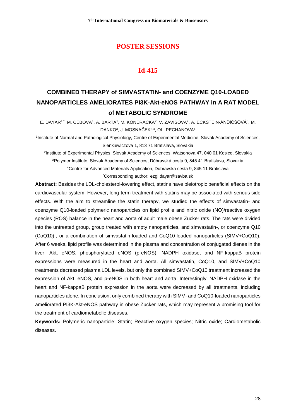## **Id-415**

# **COMBINED THERAPY of SIMVASTATIN- and COENZYME Q10-LOADED NANOPARTICLES AMELIORATES PI3K-Akt-eNOS PATHWAY in A RAT MODEL of METABOLIC SYNDROME**

E. DAYAR1,\*, M. CEBOVA1, A. BARTA1, M. KONERACKA<sup>2</sup>, V. ZAVISOVA<sup>2</sup>, A. ECKSTEIN-ANDICSOVÁ<sup>3</sup>, M. DANKO<sup>3</sup>, J. MOSNÁČEK<sup>3,4</sup>, OL. PECHANOVA<sup>1</sup>

1 Institute of Normal and Pathological Physiology, Centre of Experimental Medicine, Slovak Academy of Sciences, Sienkiewiczova 1, 813 71 Bratislava, Slovakia

 Institute of Experimental Physics, Slovak Academy of Sciences, Watsonova 47, 040 01 Kosice, Slovakia Polymer Institute, Slovak Academy of Sciences, Dúbravská cesta 9, 845 41 Bratislava, Slovakia Centre for Advanced Materials Application, Dubravska cesta 9, 845 11 Bratislava \*Corresponding author: ezgi.dayar@savba.sk

**Abstract:** Besides the LDL-cholesterol-lowering effect, statins have pleiotropic beneficial effects on the cardiovascular system. However, long-term treatment with statins may be associated with serious side effects. With the aim to streamline the statin therapy, we studied the effects of simvastatin- and coenzyme Q10-loaded polymeric nanoparticles on lipid profile and nitric oxide (NO)/reactive oxygen species (ROS) balance in the heart and aorta of adult male obese Zucker rats. The rats were divided into the untreated group, group treated with empty nanoparticles, and simvastatin-, or coenzyme Q10 (CoQ10)-, or a combination of simvastatin-loaded and CoQ10-loaded nanoparticles (SIMV+CoQ10). After 6 weeks, lipid profile was determined in the plasma and concentration of conjugated dienes in the liver. Akt, eNOS, phosphorylated eNOS (p-eNOS), NADPH oxidase, and NF-kappaB protein expressions were measured in the heart and aorta. All simvastatin, CoQ10, and SIMV+CoQ10 treatments decreased plasma LDL levels, but only the combined SIMV+CoQ10 treatment increased the expression of Akt, eNOS, and p-eNOS in both heart and aorta. Interestingly, NADPH oxidase in the heart and NF-kappaB protein expression in the aorta were decreased by all treatments, including nanoparticles alone. In conclusion, only combined therapy with SIMV- and CoQ10-loaded nanoparticles ameliorated PI3K-Akt-eNOS pathway in obese Zucker rats, which may represent a promising tool for the treatment of cardiometabolic diseases.

**Keywords:** Polymeric nanoparticle; Statin; Reactive oxygen species; Nitric oxide; Cardiometabolic diseases.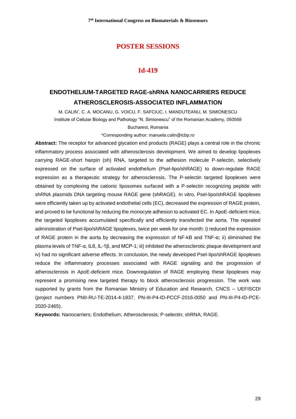## **Id-419**

## **ENDOTHELIUM-TARGETED RAGE-shRNA NANOCARRIERS REDUCE ATHEROSCLEROSIS-ASSOCIATED INFLAMMATION**

M. CALIN\* , C. A. MOCANU, G. VOICU, F. SAFCIUC, I. MANDUTEANU, M. SIMIONESCU Institute of Cellular Biology and Pathology "N. Simionescu" of the Romanian Academy, 050568 Bucharest, Romania

\*Corresponding author: manuela.calin@icbp.ro

**Abstract:** The receptor for advanced glycation end products (RAGE) plays a central role in the chronic inflammatory process associated with atherosclerosis development. We aimed to develop lipoplexes carrying RAGE-short hairpin (sh) RNA, targeted to the adhesion molecule P-selectin, selectively expressed on the surface of activated endothelium (Psel-lipo/shRAGE) to down-regulate RAGE expression as a therapeutic strategy for atherosclerosis. The P-selectin targeted lipoplexes were obtained by complexing the cationic liposomes surfaced with a P-selectin recognizing peptide with shRNA plasmids DNA targeting mouse RAGE gene (shRAGE). In vitro, Psel-lipo/shRAGE lipoplexes were efficiently taken up by activated endothelial cells (EC), decreased the expression of RAGE protein, and proved to be functional by reducing the monocyte adhesion to activated EC. In ApoE-deficient mice, the targeted lipoplexes accumulated specifically and efficiently transfected the aorta. The repeated administration of Psel-lipo/shRAGE lipoplexes, twice per week for one month: i) reduced the expression of RAGE protein in the aorta by decreasing the expression of NF-kB and TNF-α; ii) diminished the plasma levels of TNF-α, IL6, IL-1β, and MCP-1; iii) inhibited the atherosclerotic plaque development and iv) had no significant adverse effects. In conclusion, the newly developed Psel-lipo/shRAGE lipoplexes reduce the inflammatory processes associated with RAGE signaling and the progression of atherosclerosis in ApoE-deficient mice. Downregulation of RAGE employing these lipoplexes may represent a promising new targeted therapy to block atherosclerosis progression. The work was supported by grants from the Romanian Ministry of Education and Research, CNCS – UEFISCDI (project numbers PNII-RU-TE-2014-4-1837, PN-III-P4-ID-PCCF-2016-0050 and PN-III-P4-ID-PCE-2020-2465).

**Keywords:** Nanocarriers; Endothelium; Atherosclerosis; P-selectin; shRNA; RAGE.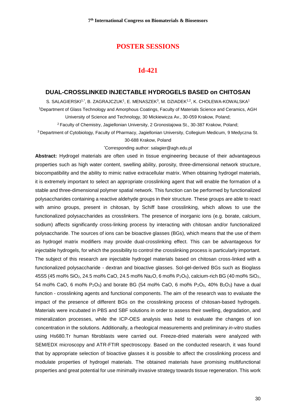#### **Id-421**

#### **DUAL-CROSSLINKED INJECTABLE HYDROGELS BASED on CHITOSAN**

S. SALAGIERSKI1,\*, B. ZAGRAJCZUK1, E. MENASZEK<sup>3</sup>, M. DZIADEK<sup>1,2</sup>, K. CHOLEWA-KOWALSKA1 <sup>1</sup>Department of Glass Technology and Amorphous Coatings, Faculty of Materials Science and Ceramics, AGH University of Science and Technology, 30 Mickiewicza Av., 30-059 Krakow, Poland;

<sup>2</sup>Faculty of Chemistry, Jagiellonian University, 2 Gronostajowa St., 30-387 Krakow, Poland;

<sup>3</sup> Department of Cytobiology, Faculty of Pharmacy, Jagiellonian University, Collegium Medicum, 9 Medyczna St.

#### 30-688 Krakow, Poland

\*Corresponding author: salagier@agh.edu.pl

**Abstract:** Hydrogel materials are often used in tissue engineering because of their advantageous properties such as high water content, swelling ability, porosity, three-dimensional network structure, biocompatibility and the ability to mimic native extracellular matrix. When obtaining hydrogel materials, it is extremely important to select an appropriate crosslinking agent that will enable the formation of a stable and three-dimensional polymer spatial network. This function can be performed by functionalized polysaccharides containing a reactive aldehyde groups in their structure. These groups are able to react with amino groups, present in chitosan, by Schiff base crosslinking, which allows to use the functionalized polysaccharides as crosslinkers. The presence of inorganic ions (e.g. borate, calcium, sodium) affects significantly cross-linking process by interacting with chitosan and/or functionalized polysaccharide. The sources of ions can be bioactive glasses (BGs), which means that the use of them as hydrogel matrix modifiers may provide dual-crosslinking effect. This can be advantageous for injectable hydrogels, for which the possibility to control the crosslinking process is particularly important. The subject of this research are injectable hydrogel materials based on chitosan cross-linked with a functionalized polysaccharide - dextran and bioactive glasses. Sol-gel-derived BGs such as Bioglass 45S5 (45 mol% SiO<sub>2</sub>, 24.5 mol% CaO, 24.5 mol% Na<sub>2</sub>O, 6 mol% P<sub>2</sub>O<sub>5</sub>), calcium-rich BG (40 mol% SiO<sub>2</sub>, 54 mol% CaO, 6 mol%  $P_2O_5$ ) and borate BG (54 mol% CaO, 6 mol%  $P_2O_5$ , 40% B<sub>2</sub>O<sub>3</sub>) have a dual function - crosslinking agents and functional components. The aim of the research was to evaluate the impact of the presence of different BGs on the crosslinking process of chitosan-based hydrogels. Materials were incubated in PBS and SBF solutions in order to assess their swelling, degradation, and mineralization processes, while the ICP-OES analysis was held to evaluate the changes of ion concentration in the solutions. Additionally, a rheological measurements and preliminary *in-vitro* studies using Hs680.Tr human fibroblasts were carried out. Freeze-dried materials were analyzed with SEM/EDX microscopy and ATR-FTIR spectroscopy. Based on the conducted research, it was found that by appropriate selection of bioactive glasses it is possible to affect the crosslinking process and modulate properties of hydrogel materials. The obtained materials have promising multifunctional properties and great potential for use minimally invasive strategy towards tissue regeneration. This work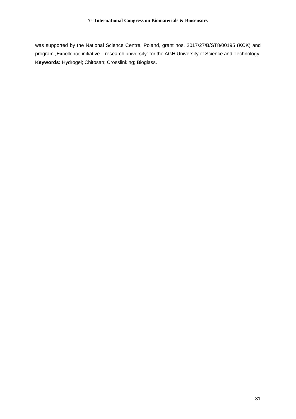was supported by the National Science Centre, Poland, grant nos. 2017/27/B/ST8/00195 (KCK) and program "Excellence initiative – research university" for the AGH University of Science and Technology. **Keywords:** Hydrogel; Chitosan; Crosslinking; Bioglass.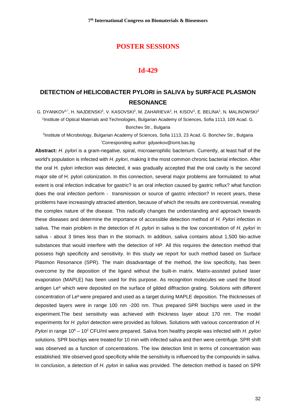#### **Id-429**

## **DETECTION of HELICOBACTER PYLORI in SALIVA by SURFACE PLASMON RESONANCE**

G. DYANKOV1,\*, H. NAJDENSKI<sup>2</sup>, V. KASOVSKI<sup>2</sup>, M. ZAHARIEVA<sup>2</sup>, H. KISOV<sup>1</sup>, E. BELINA<sup>1</sup>, N. MALINOWSKI<sup>2</sup> 1 Institute of Optical Materials and Technologies, Bulgarian Academy of Sciences, Sofia 1113, 109 Acad. G. Bonchev Str., Bulgaria

<sup>2</sup>Institute of Microbiology, Bulgarian Academy of Sciences, Sofia 1113, 23 Acad. G. Bonchev Str., Bulgaria \*Corresponding author: gdyankov@iomt.bas.bg

**Abstract:** *H. pylori* is a gram-negative, spiral, microaerophilic bacterium. Currently, at least half of the world's population is infected with *H. pylori*, making it the most common chronic bacterial infection. After the oral H. pylori infection was detected, it was gradually accepted that the oral cavity is the second major site of H. pylori colonization. In this connection, several major problems are formulated: to what extent is oral infection indicative for gastric? is an oral infection caused by gastric reflux? what function does the oral infection perform - transmission or source of gastric infection? In recent years, these problems have increasingly attracted attention, because of which the results are controversial, revealing the complex nature of the disease. This radically changes the understanding and approach towards these diseases and determine the importance of accessible detection method of *H. Pylori* infection in saliva. The main problem in the detection of *H. pylori* in saliva is the low concentration of *H. pylori* in saliva - about 3 times less than in the stomach. In addition, saliva contains about 1,500 bio-active substances that would interfere with the detection of HP. All this requires the detection method that possess high specificity and sensitivity. In this study we report for such method based on Surface Plasmon Resonance (SPR). The main disadvantage of the method, the low specificity, has been overcome by the deposition of the ligand without the built-in matrix. Matrix-assisted pulsed laser evaporation (MAPLE) has been used for this purpose. As recognition molecules we used the blood antigen Le<sup>b</sup> which were deposited on the surface of gilded diffraction grating. Solutions with different concentration of Le<sup>b</sup> were prepared and used as a target during MAPLE deposition. The thicknesses of deposited layers were in range 100 nm -200 nm. Thus prepared SPR biochips were used in the experiment.The best sensitivity was achieved with thickness layer about 170 nm. The model experiments for *H. pylori* detection were provided as follows. Solutions with various concentration of *H. Pylori* in range 10<sup>6</sup> – 10<sup>2</sup> CFU/ml were prepared. Saliva from healthy people was infected with *H. pylori* solutions. SPR biochips were treated for 10 min with infected saliva and then were centrifuge. SPR shift was observed as a function of concentrations. The low detection limit in terms of concentration was established. We observed good specificity while the sensitivity is influenced by the compounds in saliva. In conclusion, a detection of *H. pylori* in saliva was provided. The detection method is based on SPR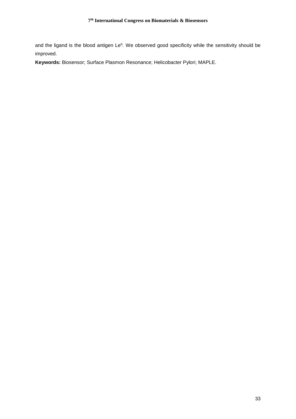and the ligand is the blood antigen  $Le^b$ . We observed good specificity while the sensitivity should be improved.

**Keywords:** Biosensor; Surface Plasmon Resonance; Helicobacter Pylori; MAPLE.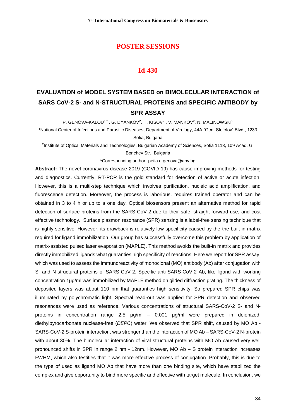#### **Id-430**

# **EVALUATION of MODEL SYSTEM BASED on BIMOLECULAR INTERACTION of SARS CoV-2 S- and N-STRUCTURAL PROTEINS and SPECIFIC ANTIBODY by SPR ASSAY**

P. GENOVA-KALOU1,\*, G. DYANKOV<sup>2</sup>, H. KISOV<sup>2</sup> , V. MANKOV<sup>2</sup>, N. MALINOWSKI<sup>2</sup>

<sup>1</sup>National Center of Infectious and Parasitic Diseases, Department of Virology, 44A "Gen. Stoletov" Blvd., 1233 Sofia, Bulgaria

2 Institute of Optical Materials and Technologies, Bulgarian Academy of Sciences, Sofia 1113, 109 Acad. G.

Bonchev Str., Bulgaria

\*Corresponding author: petia.d.genova@abv.bg

**Abstract:** The novel coronavirus disease 2019 (COVID-19) has cause improving methods for testing and diagnostics. Currently, RT-PCR is the gold standard for detection of active or acute infection. However, this is a multi-step technique which involves purification, nucleic acid amplification, and fluorescence detection. Moreover, the process is laborious, requires trained operator and can be obtained in 3 to 4 h or up to a one day. Optical biosensors present an alternative method for rapid detection of surface proteins from the SARS-CoV-2 due to their safe, straight-forward use, and cost effective technology. Surface plasmon resonance (SPR) sensing is a label-free sensing technique that is highly sensitive. However, its drawback is relatively low specificity caused by the the built-in matrix required for ligand immobilization. Our group has successfully overcome this problem by application of matrix-assisted pulsed laser evaporation (MAPLE). This method avoids the built-in matrix and provides directly immobilized ligands what guaranties high specificity of reactions. Here we report for SPR assay, which was used to assess the immunoreactivity of monoclonal (MO) antibody (Ab) after conjugation with S- and N-structural proteins of SARS-CoV-2. Specific anti-SARS-CoV-2 Ab, like ligand with working concentration 1µg/ml was immobilized by MAPLE method on gilded diffraction grating. The thickness of deposited layers was about 110 nm that guaranties high sensitivity. So prepared SPR chips was illuminated by polychromatic light. Spectral read-out was applied for SPR detection and observed resonances were used as reference. Various concentrations of structural SARS-CoV-2 S- and Nproteins in concentration range 2.5 µg/ml – 0.001 µg/ml were prepared in deionized, diethylpyrocarbonate nuclease-free (*DEPC*) water. We observed that SPR shift, caused by MO Ab - SARS-CoV-2 S-protein interaction, was stronger than the interaction of MO Ab – SARS-CoV-2 N-protein with about 30%. The bimolecular interaction of viral structural proteins with MO Ab caused very well pronounced shifts in SPR in range 2 nm - 12nm. However, MO Ab – S protein interaction increases FWHM, which also testifies that it was more effective process of conjugation. Probably, this is due to the type of used as ligand MO Ab that have more than one binding site, which have stabilized the complex and give opportunity to bind more specific and effective with target molecule. In conclusion, we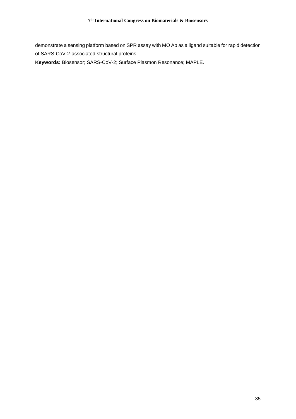demonstrate a sensing platform based on SPR assay with MO Ab as a ligand suitable for rapid detection of SARS-CoV-2-associated structural proteins.

**Keywords:** Biosensor; SARS-CoV-2; Surface Plasmon Resonance; MAPLE.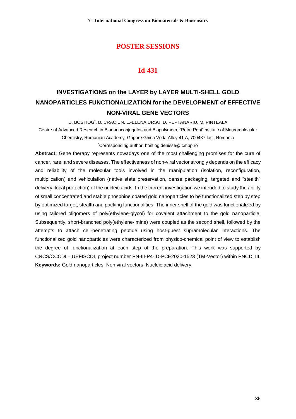## **Id-431**

# **INVESTIGATIONS on the LAYER by LAYER MULTI-SHELL GOLD NANOPARTICLES FUNCTIONALIZATION for the DEVELOPMENT of EFFECTIVE NON-VIRAL GENE VECTORS**

D. BOSTIOG\* , B. CRACIUN, L.-ELENA URSU, D. PEPTANARIU, M. PINTEALA Centre of Advanced Research in Bionanoconjugates and Biopolymers, "Petru Poni"Institute of Macromolecular Chemistry, Romanian Academy, Grigore Ghica Voda Alley 41 A, 700487 Iasi, Romania \*Corresponding author: bostiog.denisse@icmpp.ro

**Abstract:** Gene therapy represents nowadays one of the most challenging promises for the cure of cancer, rare, and severe diseases. The effectiveness of non-viral vector strongly depends on the efficacy and reliability of the molecular tools involved in the manipulation (isolation, reconfiguration, multiplication) and vehiculation (native state preservation, dense packaging, targeted and "stealth" delivery, local protection) of the nucleic acids. In the current investigation we intended to study the ability of small concentrated and stable phosphine coated gold nanoparticles to be functionalized step by step by optimized target, stealth and packing functionalities. The inner shell of the gold was functionalized by using tailored oligomers of poly(ethylene-glycol) for covalent attachment to the gold nanoparticle. Subsequently, short-branched poly(ethylene-imine) were coupled as the second shell, followed by the attempts to attach cell-penetrating peptide using host-guest supramolecular interactions. The functionalized gold nanoparticles were characterized from physico-chemical point of view to establish the degree of functionalization at each step of the preparation. This work was supported by CNCS/CCCDI – UEFISCDI, project number PN-III-P4-ID-PCE2020-1523 (TM-Vector) within PNCDI III. **Keywords:** Gold nanoparticles; Non viral vectors; Nucleic acid delivery.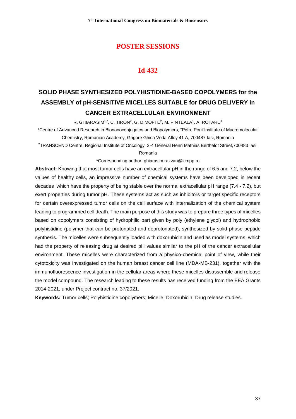## **Id-432**

# **SOLID PHASE SYNTHESIZED POLYHISTIDINE-BASED COPOLYMERS for the ASSEMBLY of pH-SENSITIVE MICELLES SUITABLE for DRUG DELIVERY in CANCER EXTRACELLULAR ENVIRONMENT**

R. GHIARASIM<sup>1,\*</sup>, C. TIRON<sup>2</sup>, G. DIMOFTE<sup>2</sup>, M. PINTEALA<sup>1</sup>, A. ROTARU<sup>1</sup>

<sup>1</sup>Centre of Advanced Research in Bionanoconjugates and Biopolymers, "Petru Poni"Institute of Macromolecular Chemistry, Romanian Academy, Grigore Ghica Voda Alley 41 A, 700487 Iasi, Romania

<sup>2</sup>TRANSCEND Centre, Regional Institute of Oncology, 2-4 General Henri Mathias Berthelot Street,700483 Iasi,

#### Romania

\*Corresponding author: [ghiarasim.razvan@icmpp.ro](mailto:ghiarasim.razvan@icmpp.ro)

**Abstract:** Knowing that most tumor cells have an extracellular pH in the range of 6.5 and 7.2, below the values of healthy cells, an impressive number of chemical systems have been developed in recent decades which have the property of being stable over the normal extracellular pH range (7.4 - 7.2), but exert properties during tumor pH. These systems act as such as inhibitors or target specific receptors for certain overexpressed tumor cells on the cell surface with internalization of the chemical system leading to programmed cell death. The main purpose of this study was to prepare three types of micelles based on copolymers consisting of hydrophilic part given by poly (ethylene glycol) and hydrophobic polyhistidine (polymer that can be protonated and deprotonated), synthesized by solid-phase peptide synthesis. The micelles were subsequently loaded with doxorubicin and used as model systems, which had the property of releasing drug at desired pH values similar to the pH of the cancer extracellular environment. These micelles were characterized from a physico-chemical point of view, while their cytotoxicity was investigated on the human breast cancer cell line (MDA-MB-231), together with the immunofluorescence investigation in the cellular areas where these micelles disassemble and release the model compound. The research leading to these results has received funding from the EEA Grants 2014-2021, under Project contract no. 37/2021.

**Keywords:** Tumor cells; Polyhistidine copolymers; Micelle; Doxorubicin; Drug release studies.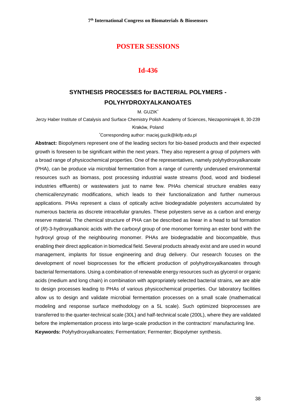#### **Id-436**

## **SYNTHESIS PROCESSES for BACTERIAL POLYMERS - POLYHYDROXYALKANOATES**

M. GUZIK\*

Jerzy Haber Institute of Catalysis and Surface Chemistry Polish Academy of Sciences, Niezapominajek 8, 30-239

#### Kraków, Poland

\*Corresponding author: maciej.guzik@ikifp.edu.pl

**Abstract:** Biopolymers represent one of the leading sectors for bio-based products and their expected growth is foreseen to be significant within the next years. They also represent a group of polymers with a broad range of physicochemical properties. One of the representatives, namely polyhydroxyalkanoate (PHA), can be produce *via* microbial fermentation from a range of currently underused environmental resources such as biomass, post processing industrial waste streams (food, wood and biodiesel industries effluents) or wastewaters just to name few. PHAs chemical structure enables easy chemical/enzymatic modifications, which leads to their functionalization and further numerous applications. PHAs represent a class of optically active biodegradable polyesters accumulated by numerous bacteria as discrete intracellular granules. These polyesters serve as a carbon and energy reserve material. The chemical structure of PHA can be described as linear in a head to tail formation of (*R*)-3-hydroxyalkanoic acids with the carboxyl group of one monomer forming an ester bond with the hydroxyl group of the neighbouring monomer. PHAs are biodegradable and biocompatible, thus enabling their direct application in biomedical field. Several products already exist and are used in wound management, implants for tissue engineering and drug delivery. Our research focuses on the development of novel bioprocesses for the efficient production of polyhydroxyalkanoates through bacterial fermentations. Using a combination of renewable energy resources such as glycerol or organic acids (medium and long chain) in combination with appropriately selected bacterial strains, we are able to design processes leading to PHAs of various physicochemical properties. Our laboratory facilities allow us to design and validate microbial fermentation processes on a small scale (mathematical modeling and response surface methodology on a 5L scale). Such optimized bioprocesses are transferred to the quarter-technical scale (30L) and half-technical scale (200L), where they are validated before the implementation process into large-scale production in the contractors' manufacturing line. **Keywords:** Polyhydroxyalkanoates; Fermentation; Fermenter; Biopolymer synthesis.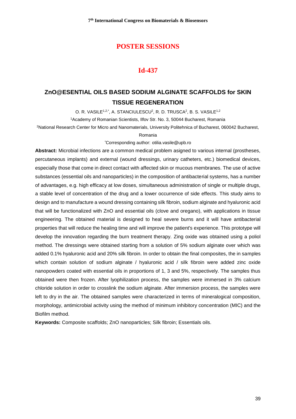## **Id-437**

## **ZnO@ESENTIAL OILS BASED SODIUM ALGINATE SCAFFOLDS for SKIN TISSUE REGENERATION**

O. R. VASILE<sup>1,2,\*</sup>, A. STANCIULESCU<sup>2</sup>, R. D. TRUSCA<sup>2</sup>, B. S. VASILE<sup>1,2</sup>

<sup>1</sup>Academy of Romanian Scientists, Ilfov Str. No. 3, 50044 Bucharest, Romania

<sup>2</sup>National Research Center for Micro and Nanomaterials, University Politehnica of Bucharest, 060042 Bucharest,

#### Romania

\*Corresponding author: otilia.vasile@upb.ro

**Abstract:** Microbial infections are a common medical problem asigned to various internal (prostheses, percutaneous implants) and external (wound dressings, urinary catheters, etc.) biomedical devices, especially those that come in direct contact with affected skin or mucous membranes. The use of active substances (essential oils and nanoparticles) in the composition of antibacterial systems, has a number of advantages, e.g. high efficacy at low doses, simultaneous administration of single or multiple drugs, a stable level of concentration of the drug and a lower occurrence of side effects. This study aims to design and to manufacture a wound dressing containing silk fibroin, sodium alginate and hyaluronic acid that will be functionalized with ZnO and essential oils (clove and oregano), with applications in tissue engineering. The obtained material is designed to heal severe burns and it will have antibacterial properties that will reduce the healing time and will improve the patient's experience. This prototype will develop the innovation regarding the burn treatment therapy. Zing oxide was obtained using a poliol method. The dressings were obtained starting from a solution of 5% sodium alginate over which was added 0.1% hyaluronic acid and 20% silk fibroin. In order to obtain the final composites, the in samples which contain solution of sodium alginate / hyaluronic acid / silk fibroin were added zinc oxide nanopowders coated with essential oils in proportions of 1, 3 and 5%, respectively. The samples thus obtained were then frozen. After lyophilization process, the samples were immersed in 3% calcium chloride solution in order to crosslink the sodium alginate. After immersion process, the samples were left to dry in the air. The obtained samples were characterized in terms of mineralogical composition, morphology, antimicrobial activity using the method of minimum inhibitory concentration (MIC) and the Biofilm method.

**Keywords:** Composite scaffolds; ZnO nanoparticles; Silk fibroin; Essentials oils.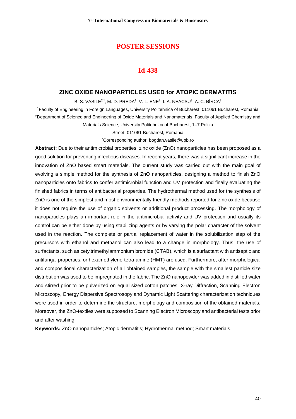#### **Id-438**

#### **ZINC OXIDE NANOPARTICLES USED for ATOPIC DERMATITIS**

B. S. VASILE<sup>2,\*</sup>, M.-D. PREDA<sup>1</sup>, V.-L. ENE<sup>2</sup>, I. A. NEACSU<sup>2</sup>, A. C. BÎRCA<sup>2</sup>

<sup>1</sup>Faculty of Engineering in Foreign Languages, University Politehnica of Bucharest, 011061 Bucharest, Romania <sup>2</sup>Department of Science and Engineering of Oxide Materials and Nanomaterials, Faculty of Applied Chemistry and Materials Science, University Politehnica of Bucharest, 1–7 Polizu

Street, 011061 Bucharest, Romania

\*Corresponding author: bogdan.vasile@upb.ro

**Abstract:** Due to their antimicrobial properties, zinc oxide (ZnO) nanoparticles has been proposed as a good solution for preventing infectious diseases. In recent years, there was a significant increase in the innovation of ZnO based smart materials. The current study was carried out with the main goal of evolving a simple method for the synthesis of ZnO nanoparticles, designing a method to finish ZnO nanoparticles onto fabrics to confer antimicrobial function and UV protection and finally evaluating the finished fabrics in terms of antibacterial properties. The hydrothermal method used for the synthesis of ZnO is one of the simplest and most environmentally friendly methods reported for zinc oxide because it does not require the use of organic solvents or additional product processing. The morphology of nanoparticles plays an important role in the antimicrobial activity and UV protection and usually its control can be either done by using stabilizing agents or by varying the polar character of the solvent used in the reaction. The complete or partial replacement of water in the solubilization step of the precursors with ethanol and methanol can also lead to a change in morphology. Thus, the use of surfactants, such as cetyltrimethylammonium bromide (CTAB), which is a surfactant with antiseptic and antifungal properties, or hexamethylene-tetra-amine (HMT) are used. Furthermore, after morphological and compositional characterization of all obtained samples, the sample with the smallest particle size distribution was used to be impregnated in the fabric. The ZnO nanopowder was added in distilled water and stirred prior to be pulverized on equal sized cotton patches. X-ray Diffraction, Scanning Electron Microscopy, Energy Dispersive Spectrosopy and Dynamic Light Scattering characterization techniques were used in order to determine the structure, morphology and composition of the obtained materials. Moreover, the ZnO-textiles were supposed to Scanning Electron Microscopy and antibacterial tests prior and after washing.

**Keywords:** ZnO nanoparticles; Atopic dermatitis; Hydrothermal method; Smart materials.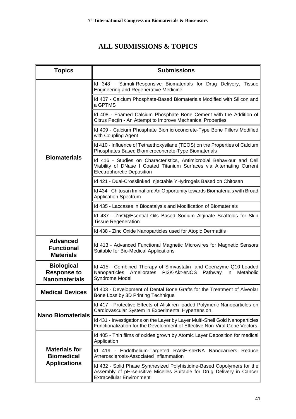# **ALL SUBMISSIONS & TOPICS**

| <b>Topics</b>                                                    | <b>Submissions</b>                                                                                                                                                                    |
|------------------------------------------------------------------|---------------------------------------------------------------------------------------------------------------------------------------------------------------------------------------|
| <b>Biomaterials</b>                                              | Id 348 - Stimuli-Responsive Biomaterials for Drug Delivery, Tissue<br><b>Engineering and Regenerative Medicine</b>                                                                    |
|                                                                  | Id 407 - Calcium Phosphate-Based Biomaterials Modified with Silicon and<br>a GPTMS                                                                                                    |
|                                                                  | Id 408 - Foamed Calcium Phosphate Bone Cement with the Addition of<br>Citrus Pectin - An Attempt to Improve Mechanical Properties                                                     |
|                                                                  | Id 409 - Calcium Phosphate Biomicroconcrete-Type Bone Fillers Modified<br>with Coupling Agent                                                                                         |
|                                                                  | Id 410 - Influence of Tetraethoxysilane (TEOS) on the Properties of Calcium<br>Phosphates Based Biomicroconcrete-Type Biomaterials                                                    |
|                                                                  | Id 416 - Studies on Characteristics, Antimicrobial Behaviour and Cell<br>Viability of DNase I Coated Titanium Surfaces via Alternating Current<br><b>Electrophoretic Deposition</b>   |
|                                                                  | Id 421 - Dual-Crosslinked Injectable YHydrogels Based on Chitosan                                                                                                                     |
|                                                                  | Id 434 - Chitosan Imination: An Opportunity towards Biomaterials with Broad<br><b>Application Spectrum</b>                                                                            |
|                                                                  | Id 435 - Laccases in Biocatalysis and Modification of Biomaterials                                                                                                                    |
|                                                                  | Id 437 - ZnO@Esential Oils Based Sodium Alginate Scaffolds for Skin<br><b>Tissue Regeneration</b>                                                                                     |
|                                                                  | Id 438 - Zinc Oxide Nanoparticles used for Atopic Dermatitis                                                                                                                          |
| <b>Advanced</b><br><b>Functional</b><br><b>Materials</b>         | Id 413 - Advanced Functional Magnetic Microwires for Magnetic Sensors<br>Suitable for Bio-Medical Applications                                                                        |
| <b>Biological</b><br><b>Response to</b><br><b>Nanomaterials</b>  | Id 415 - Combined Therapy of Simvastatin- and Coenzyme Q10-Loaded<br>Nanoparticles Ameliorates PI3K-Akt-eNOS Pathway<br>Metabolic<br>in<br>Syndrome Model                             |
| <b>Medical Devices</b>                                           | Id 403 - Development of Dental Bone Grafts for the Treatment of Alveolar<br>Bone Loss by 3D Printing Technique                                                                        |
| <b>Nano Biomaterials</b>                                         | Id 417 - Protective Effects of Aliskiren-loaded Polymeric Nanoparticles on<br>Cardiovascular System in Experimental Hypertension.                                                     |
|                                                                  | Id 431 - Investigations on the Layer by Layer Multi-Shell Gold Nanoparticles<br>Functionalization for the Development of Effective Non-Viral Gene Vectors                             |
| <b>Materials for</b><br><b>Biomedical</b><br><b>Applications</b> | Id 405 - Thin films of oxides grown by Atomic Layer Deposition for medical<br>Application                                                                                             |
|                                                                  | Id 419 - Endothelium-Targeted RAGE-shRNA Nanocarriers Reduce<br>Atherosclerosis-Associated Inflammation                                                                               |
|                                                                  | Id 432 - Solid Phase Synthesized Polyhistidine-Based Copolymers for the<br>Assembly of pH-sensitive Micelles Suitable for Drug Delivery in Cancer<br><b>Extracellular Environment</b> |